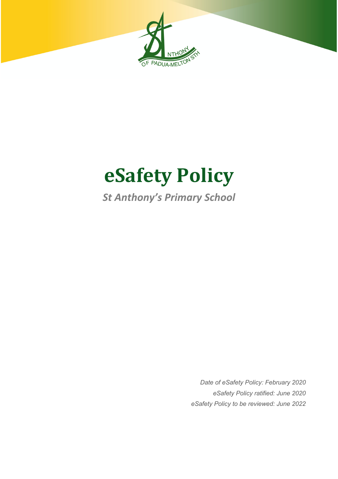

# **eSafety Policy**

# *St Anthony's Primary School*

*Date of eSafety Policy: February 2020 eSafety Policy ratified: June 2020 eSafety Policy to be reviewed: June 2022*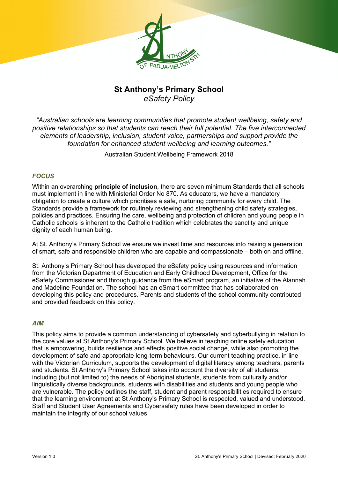

### **St Anthony's Primary School** *eSafety Policy*

*"Australian schools are learning communities that promote student wellbeing, safety and positive relationships so that students can reach their full potential. The five interconnected elements of leadership, inclusion, student voice, partnerships and support provide the foundation for enhanced student wellbeing and learning outcomes."*

Australian Student Wellbeing Framework 2018

#### *FOCUS*

Within an overarching **principle of inclusion**, there are seven minimum Standards that all schools must implement in line with Ministerial Order No 870. As educators, we have a mandatory obligation to create a culture which prioritises a safe, nurturing community for every child. The Standards provide a framework for routinely reviewing and strengthening child safety strategies, policies and practices. Ensuring the care, wellbeing and protection of children and young people in Catholic schools is inherent to the Catholic tradition which celebrates the sanctity and unique dignity of each human being.

At St. Anthony's Primary School we ensure we invest time and resources into raising a generation of smart, safe and responsible children who are capable and compassionate – both on and offline.

St. Anthony's Primary School has developed the eSafety policy using resources and information from the Victorian Department of Education and Early Childhood Development, Office for the eSafety Commissioner and through guidance from the eSmart program, an initiative of the Alannah and Madeline Foundation. The school has an eSmart committee that has collaborated on developing this policy and procedures. Parents and students of the school community contributed and provided feedback on this policy.

#### *AIM*

This policy aims to provide a common understanding of cybersafety and cyberbullying in relation to the core values at St Anthony's Primary School. We believe in teaching online safety education that is empowering, builds resilience and effects positive social change, while also promoting the development of safe and appropriate long-term behaviours. Our current teaching practice, in line with the Victorian Curriculum, supports the development of digital literacy among teachers, parents and students. St Anthony's Primary School takes into account the diversity of all students, including (but not limited to) the needs of Aboriginal students, students from culturally and/or linguistically diverse backgrounds, students with disabilities and students and young people who are vulnerable. The policy outlines the staff, student and parent responsibilities required to ensure that the learning environment at St Anthony's Primary School is respected, valued and understood. Staff and Student User Agreements and Cybersafety rules have been developed in order to maintain the integrity of our school values.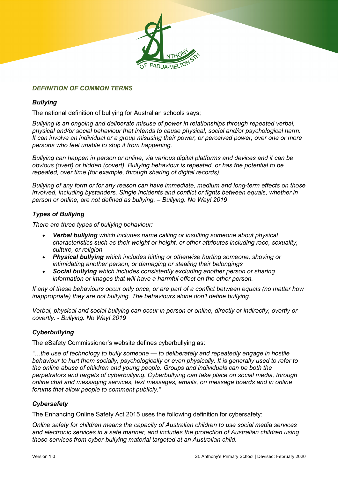

#### *DEFINITION OF COMMON TERMS*

#### *Bullying*

The national definition of bullying for Australian schools says;

*Bullying is an ongoing and deliberate misuse of power in relationships through repeated verbal, physical and/or social behaviour that intends to cause physical, social and/or psychological harm. It can involve an individual or a group misusing their power, or perceived power, over one or more persons who feel unable to stop it from happening.*

*Bullying can happen in person or online, via various digital platforms and devices and it can be obvious (overt) or hidden (covert). Bullying behaviour is repeated, or has the potential to be repeated, over time (for example, through sharing of digital records).*

*Bullying of any form or for any reason can have immediate, medium and long-term effects on those involved, including bystanders. Single incidents and conflict or fights between equals, whether in person or online, are not defined as bullying. – Bullying. No Way! 2019*

#### *Types of Bullying*

*There are three types of bullying behaviour:*

- *Verbal bullying which includes name calling or insulting someone about physical characteristics such as their weight or height, or other attributes including race, sexuality, culture, or religion*
- *Physical bullying which includes hitting or otherwise hurting someone, shoving or intimidating another person, or damaging or stealing their belongings*
- *Social bullying which includes consistently excluding another person or sharing information or images that will have a harmful effect on the other person.*

*If any of these behaviours occur only once, or are part of a conflict between equals (no matter how inappropriate) they are not bullying. The behaviours alone don't define bullying.*

*Verbal, physical and social bullying can occur in person or online, directly or indirectly, overtly or covertly. - Bullying. No Way! 2019*

#### *Cyberbullying*

The eSafety Commissioner's website defines cyberbullying as:

*"…the use of technology to bully someone — to deliberately and repeatedly engage in hostile behaviour to hurt them socially, psychologically or even physically. It is generally used to refer to the online abuse of children and young people. Groups and individuals can be both the perpetrators and targets of cyberbullying. Cyberbullying can take place on social media, through online chat and messaging services, text messages, emails, on message boards and in online forums that allow people to comment publicly."*

#### *Cybersafety*

The Enhancing Online Safety Act 2015 uses the following definition for cybersafety:

*Online safety for children means the capacity of Australian children to use social media services and electronic services in a safe manner, and includes the protection of Australian children using those services from cyber-bullying material targeted at an Australian child.*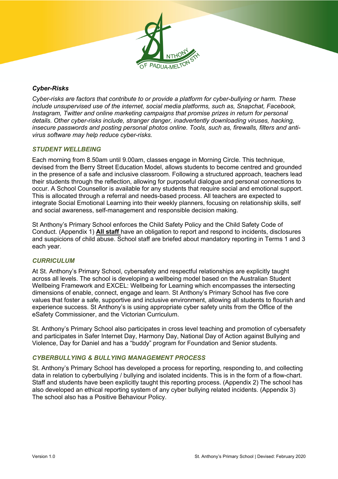

#### *Cyber-Risks*

*Cyber-risks are factors that contribute to or provide a platform for cyber-bullying or harm. These include unsupervised use of the internet, social media platforms, such as, Snapchat, Facebook, Instagram, Twitter and online marketing campaigns that promise prizes in return for personal details. Other cyber-risks include, stranger danger, inadvertently downloading viruses, hacking, insecure passwords and posting personal photos online. Tools, such as, firewalls, filters and antivirus software may help reduce cyber-risks.* 

#### *STUDENT WELLBEING*

Each morning from 8.50am until 9.00am, classes engage in Morning Circle. This technique, devised from the Berry Street Education Model, allows students to become centred and grounded in the presence of a safe and inclusive classroom. Following a structured approach, teachers lead their students through the reflection, allowing for purposeful dialogue and personal connections to occur. A School Counsellor is available for any students that require social and emotional support. This is allocated through a referral and needs-based process. All teachers are expected to integrate Social Emotional Learning into their weekly planners, focusing on relationship skills, self and social awareness, self-management and responsible decision making.

St Anthony's Primary School enforces the Child Safety Policy and the Child Safety Code of Conduct. (Appendix 1) **All staff** have an obligation to report and respond to incidents, disclosures and suspicions of child abuse. School staff are briefed about mandatory reporting in Terms 1 and 3 each year.

#### *CURRICULUM*

At St. Anthony's Primary School, cybersafety and respectful relationships are explicitly taught across all levels. The school is developing a wellbeing model based on the Australian Student Wellbeing Framework and EXCEL: Wellbeing for Learning which encompasses the intersecting dimensions of enable, connect, engage and learn. St Anthony's Primary School has five core values that foster a safe, supportive and inclusive environment, allowing all students to flourish and experience success. St Anthony's is using appropriate cyber safety units from the Office of the eSafety Commissioner, and the Victorian Curriculum.

St. Anthony's Primary School also participates in cross level teaching and promotion of cybersafety and participates in Safer Internet Day, Harmony Day, National Day of Action against Bullying and Violence, Day for Daniel and has a "buddy" program for Foundation and Senior students.

#### *CYBERBULLYING & BULLYING MANAGEMENT PROCESS*

St. Anthony's Primary School has developed a process for reporting, responding to, and collecting data in relation to cyberbullying / bullying and isolated incidents. This is in the form of a flow-chart. Staff and students have been explicitly taught this reporting process. (Appendix 2) The school has also developed an ethical reporting system of any cyber bullying related incidents. (Appendix 3) The school also has a Positive Behaviour Policy.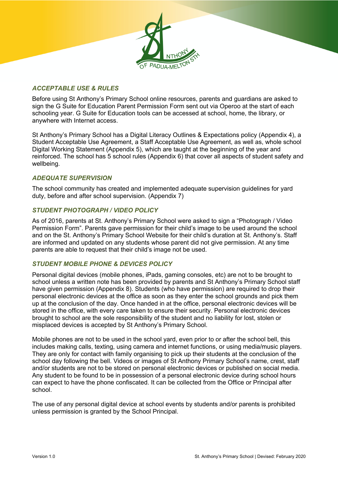#### *ACCEPTABLE USE & RULES*

Before using St Anthony's Primary School online resources, parents and guardians are asked to sign the G Suite for Education Parent Permission Form sent out via Operoo at the start of each schooling year. G Suite for Education tools can be accessed at school, home, the library, or anywhere with Internet access.

St Anthony's Primary School has a Digital Literacy Outlines & Expectations policy (Appendix 4), a Student Acceptable Use Agreement, a Staff Acceptable Use Agreement, as well as, whole school Digital Working Statement (Appendix 5), which are taught at the beginning of the year and reinforced. The school has 5 school rules (Appendix 6) that cover all aspects of student safety and wellbeing.

#### *ADEQUATE SUPERVISION*

The school community has created and implemented adequate supervision guidelines for yard duty, before and after school supervision. (Appendix 7)

#### *STUDENT PHOTOGRAPH / VIDEO POLICY*

As of 2016, parents at St. Anthony's Primary School were asked to sign a "Photograph / Video Permission Form". Parents gave permission for their child's image to be used around the school and on the St. Anthony's Primary School Website for their child's duration at St. Anthony's. Staff are informed and updated on any students whose parent did not give permission. At any time parents are able to request that their child's image not be used.

#### *STUDENT MOBILE PHONE & DEVICES POLICY*

Personal digital devices (mobile phones, iPads, gaming consoles, etc) are not to be brought to school unless a written note has been provided by parents and St Anthony's Primary School staff have given permission (Appendix 8). Students (who have permission) are required to drop their personal electronic devices at the office as soon as they enter the school grounds and pick them up at the conclusion of the day. Once handed in at the office, personal electronic devices will be stored in the office, with every care taken to ensure their security. Personal electronic devices brought to school are the sole responsibility of the student and no liability for lost, stolen or misplaced devices is accepted by St Anthony's Primary School.

Mobile phones are not to be used in the school yard, even prior to or after the school bell, this includes making calls, texting, using camera and internet functions, or using media/music players. They are only for contact with family organising to pick up their students at the conclusion of the school day following the bell. Videos or images of St Anthony Primary School's name, crest, staff and/or students are not to be stored on personal electronic devices or published on social media. Any student to be found to be in possession of a personal electronic device during school hours can expect to have the phone confiscated. It can be collected from the Office or Principal after school.

The use of any personal digital device at school events by students and/or parents is prohibited unless permission is granted by the School Principal.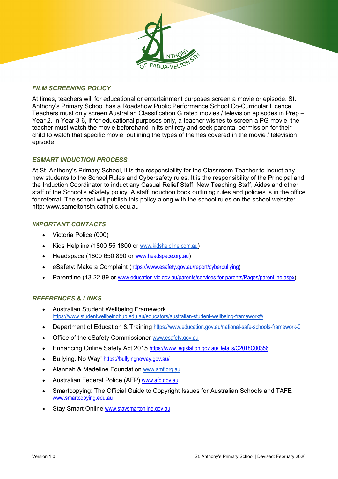#### *FILM SCREENING POLICY*

At times, teachers will for educational or entertainment purposes screen a movie or episode. St. Anthony's Primary School has a Roadshow Public Performance School Co-Curricular Licence. Teachers must only screen Australian Classification G rated movies / television episodes in Prep – Year 2. In Year 3-6, if for educational purposes only, a teacher wishes to screen a PG movie, the teacher must watch the movie beforehand in its entirety and seek parental permission for their child to watch that specific movie, outlining the types of themes covered in the movie / television episode.

#### *ESMART INDUCTION PROCESS*

At St. Anthony's Primary School, it is the responsibility for the Classroom Teacher to induct any new students to the School Rules and Cybersafety rules. It is the responsibility of the Principal and the Induction Coordinator to induct any Casual Relief Staff, New Teaching Staff, Aides and other staff of the School's eSafety policy. A staff induction book outlining rules and policies is in the office for referral. The school will publish this policy along with the school rules on the school website: http: www.sameltonsth.catholic.edu.au

#### *IMPORTANT CONTACTS*

- Victoria Police (000)
- Kids Helpline (1800 55 1800 or www.kidshelpline.com.au)
- Headspace (1800 650 890 or www.headspace.org.au)
- eSafety: Make a Complaint (https://www.esafety.gov.au/report/cyberbullying)
- Parentline (13 22 89 or www.education.vic.gov.au/parents/services-for-parents/Pages/parentline.aspx)

#### *REFERENCES & LINKS*

- Australian Student Wellbeing Framework https://www.studentwellbeinghub.edu.au/educators/australian-student-wellbeing-framework#/
- Department of Education & Training https://www.education.gov.au/national-safe-schools-framework-0
- Office of the eSafety Commissioner www.esafety.gov.au
- Enhancing Online Safety Act 2015 https://www.legislation.gov.au/Details/C2018C00356
- Bullying. No Way! https://bullyingnoway.gov.au/
- Alannah & Madeline Foundation www.amf.org.au
- Australian Federal Police (AFP) www.afp.gov.au
- Smartcopying: The Official Guide to Copyright Issues for Australian Schools and TAFE www.smartcopying.edu.au
- Stav Smart Online www.staysmartonline.gov.au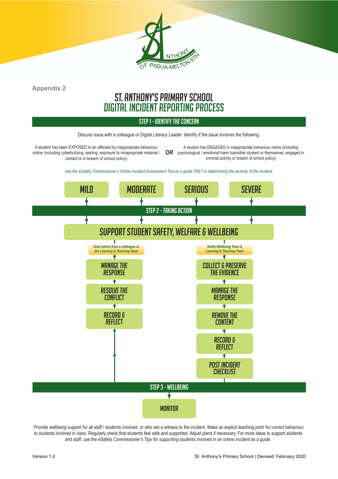

# ST. ANTHONY'S PRIMARY SCHOOL DIGITAL INCIDENT REPORTING PROCESS

#### STEP 1 - IDENTIFY THE CONCERN

Discuss issue with a colleague or Digital Literacy Leader. Identify if the issue involves the following:

A student has been EXPOSED to an affected by inappropriate behaviour online (including cyberbullying, sexting, exposure to innapropriate material /  $\;\;\mathsf{OR}\;\;$  psychological / emotional harm toanother student or themselves, engaged in contact or in breach of school policy).

A student has ENGAGED in inappropriate behaviour online (including criminal activity or breach of school policy).

*Use the eSafety Commissioner's Online Incident Assessment Tool as a guide ONLY in determining the severity of the incident.*



Provide wellbeing support for all staff / students involved, or who are a witness to the incident. Make an explicit teaching point for correct behaviour to students involved in class. Regularly check that students feel safe and supported. Adjust plans if necessary. For more ideas to support students and staff, use the eSafety Commissioner's *Tips for supporting students involved in an online incident* as a guide.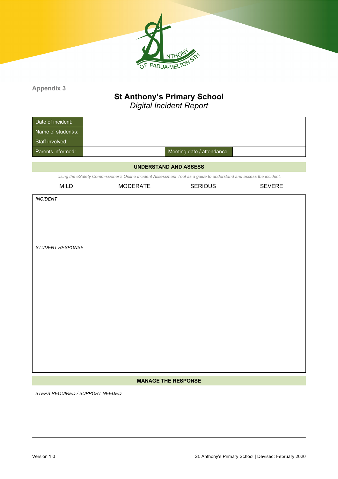

## **St Anthony's Primary School**

*Digital Incident Report*

| Date of incident:  |                            |
|--------------------|----------------------------|
| Name of student/s: |                            |
| Staff involved:    |                            |
| Parents informed:  | Meeting date / attendance: |

#### **UNDERSTAND AND ASSESS**

*Using the eSafety Commissioner's Online Incident Assessment Tool as a guide to understand and assess the incident.*

| <b>MODERATE</b><br>MILD |  |  |  |
|-------------------------|--|--|--|
|-------------------------|--|--|--|

*INCIDENT*

*STUDENT RESPONSE*

#### **MANAGE THE RESPONSE**

*STEPS REQUIRED / SUPPORT NEEDED*

SERIOUS SEVERE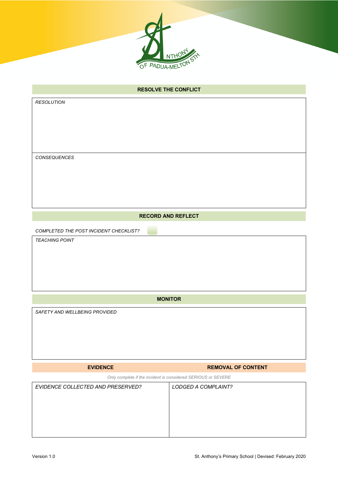

| <b>RESOLVE THE CONFLICT</b>            |  |  |  |
|----------------------------------------|--|--|--|
| <b>RESOLUTION</b>                      |  |  |  |
|                                        |  |  |  |
|                                        |  |  |  |
|                                        |  |  |  |
|                                        |  |  |  |
| CONSEQUENCES                           |  |  |  |
|                                        |  |  |  |
|                                        |  |  |  |
|                                        |  |  |  |
|                                        |  |  |  |
| <b>RECORD AND REFLECT</b>              |  |  |  |
| COMPLETED THE POST INCIDENT CHECKLIST? |  |  |  |
| <b>TEACHING POINT</b>                  |  |  |  |
|                                        |  |  |  |
|                                        |  |  |  |
|                                        |  |  |  |
|                                        |  |  |  |
| <b>MONITOR</b>                         |  |  |  |
| SAFETY AND WELLBEING PROVIDED          |  |  |  |

**EVIDENCE REMOVAL OF CONTENT** 

*Only complete if the incident is considered SERIOUS or SEVERE*

| EVIDENCE COLLECTED AND PRESERVED? | LODGED A COMPLAINT? |
|-----------------------------------|---------------------|
|                                   |                     |
|                                   |                     |
|                                   |                     |
|                                   |                     |
|                                   |                     |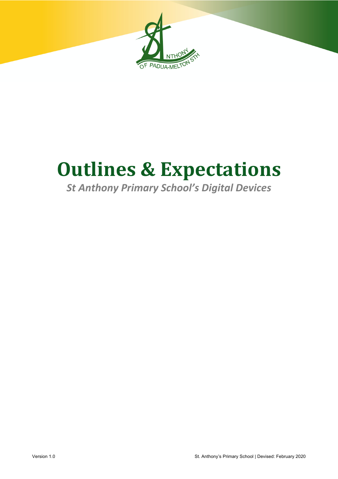

# **Outlines & Expectations**

# *St Anthony Primary School's Digital Devices*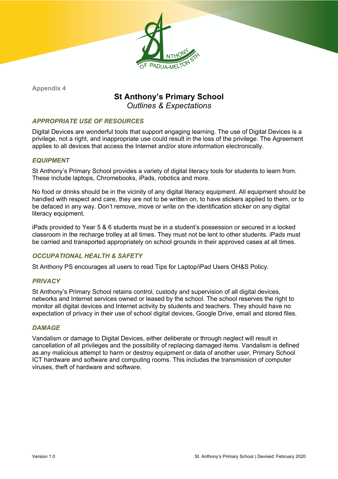

## **St Anthony's Primary School** *Outlines & Expectations*

#### *APPROPRIATE USE OF RESOURCES*

Digital Devices are wonderful tools that support engaging learning. The use of Digital Devices is a privilege, not a right, and inappropriate use could result in the loss of the privilege. The Agreement applies to all devices that access the Internet and/or store information electronically.

#### *EQUIPMENT*

St Anthony's Primary School provides a variety of digital literacy tools for students to learn from. These include laptops, Chromebooks, iPads, robotics and more.

No food or drinks should be in the vicinity of any digital literacy equipment. All equipment should be handled with respect and care, they are not to be written on, to have stickers applied to them, or to be defaced in any way. Don't remove, move or write on the identification sticker on any digital literacy equipment.

iPads provided to Year 5 & 6 students must be in a student's possession or secured in a locked classroom in the recharge trolley at all times. They must not be lent to other students. iPads must be carried and transported appropriately on school grounds in their approved cases at all times.

#### *OCCUPATIONAL HEALTH & SAFETY*

St Anthony PS encourages all users to read Tips for Laptop/iPad Users OH&S Policy.

#### *PRIVACY*

St Anthony's Primary School retains control, custody and supervision of all digital devices, networks and Internet services owned or leased by the school. The school reserves the right to monitor all digital devices and Internet activity by students and teachers. They should have no expectation of privacy in their use of school digital devices, Google Drive, email and stored files.

#### *DAMAGE*

Vandalism or damage to Digital Devices, either deliberate or through neglect will result in cancellation of all privileges and the possibility of replacing damaged items. Vandalism is defined as any malicious attempt to harm or destroy equipment or data of another user, Primary School ICT hardware and software and computing rooms. This includes the transmission of computer viruses, theft of hardware and software.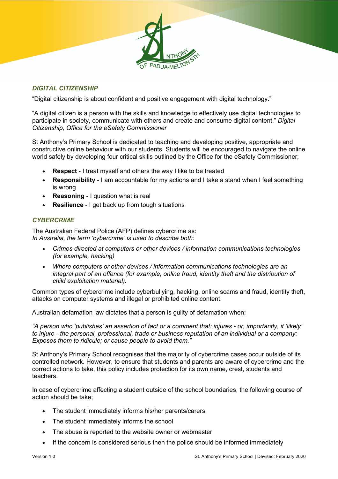#### *DIGITAL CITIZENSHIP*

"Digital citizenship is about confident and positive engagement with digital technology."

"A digital citizen is a person with the skills and knowledge to effectively use digital technologies to participate in society, communicate with others and create and consume digital content." *Digital Citizenship, Office for the eSafety Commissioner*

St Anthony's Primary School is dedicated to teaching and developing positive, appropriate and constructive online behaviour with our students. Students will be encouraged to navigate the online world safely by developing four critical skills outlined by the Office for the eSafety Commissioner;

- **Respect** I treat myself and others the way I like to be treated
- **Responsibility** I am accountable for my actions and I take a stand when I feel something is wrong
- **Reasoning** I question what is real
- **Resilience** I get back up from tough situations

#### *CYBERCRIME*

The Australian Federal Police (AFP) defines cybercrime as: *In Australia, the term 'cybercrime' is used to describe both:*

- *Crimes directed at computers or other devices / information communications technologies (for example, hacking)*
- *Where computers or other devices / information communications technologies are an integral part of an offence (for example, online fraud, identity theft and the distribution of child exploitation material).*

Common types of cybercrime include cyberbullying, hacking, online scams and fraud, identity theft, attacks on computer systems and illegal or prohibited online content.

Australian defamation law dictates that a person is guilty of defamation when;

*"A person who 'publishes' an assertion of fact or a comment that: injures - or, importantly, it 'likely' to injure - the personal, professional, trade or business reputation of an individual or a company: Exposes them to ridicule; or cause people to avoid them."*

St Anthony's Primary School recognises that the majority of cybercrime cases occur outside of its controlled network. However, to ensure that students and parents are aware of cybercrime and the correct actions to take, this policy includes protection for its own name, crest, students and teachers.

In case of cybercrime affecting a student outside of the school boundaries, the following course of action should be take;

- The student immediately informs his/her parents/carers
- The student immediately informs the school
- The abuse is reported to the website owner or webmaster
- If the concern is considered serious then the police should be informed immediately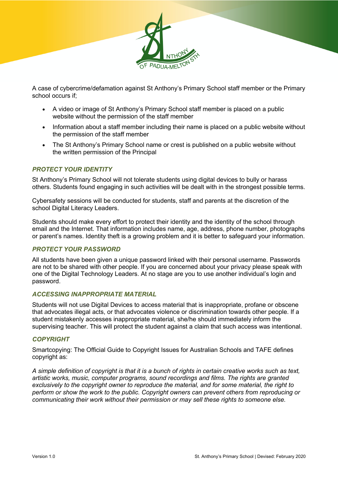

A case of cybercrime/defamation against St Anthony's Primary School staff member or the Primary school occurs if;

- A video or image of St Anthony's Primary School staff member is placed on a public website without the permission of the staff member
- Information about a staff member including their name is placed on a public website without the permission of the staff member
- The St Anthony's Primary School name or crest is published on a public website without the written permission of the Principal

#### *PROTECT YOUR IDENTITY*

St Anthony's Primary School will not tolerate students using digital devices to bully or harass others. Students found engaging in such activities will be dealt with in the strongest possible terms.

Cybersafety sessions will be conducted for students, staff and parents at the discretion of the school Digital Literacy Leaders.

Students should make every effort to protect their identity and the identity of the school through email and the Internet. That information includes name, age, address, phone number, photographs or parent's names. Identity theft is a growing problem and it is better to safeguard your information.

#### *PROTECT YOUR PASSWORD*

All students have been given a unique password linked with their personal username. Passwords are not to be shared with other people. If you are concerned about your privacy please speak with one of the Digital Technology Leaders. At no stage are you to use another individual's login and password.

#### *ACCESSING INAPPROPRIATE MATERIAL*

Students will not use Digital Devices to access material that is inappropriate, profane or obscene that advocates illegal acts, or that advocates violence or discrimination towards other people. If a student mistakenly accesses inappropriate material, she/he should immediately inform the supervising teacher. This will protect the student against a claim that such access was intentional.

#### *COPYRIGHT*

Smartcopying: The Official Guide to Copyright Issues for Australian Schools and TAFE defines copyright as:

*A simple definition of copyright is that it is a bunch of rights in certain creative works such as text, artistic works, music, computer programs, sound recordings and films. The rights are granted exclusively to the copyright owner to reproduce the material, and for some material, the right to perform or show the work to the public. Copyright owners can prevent others from reproducing or communicating their work without their permission or may sell these rights to someone else.*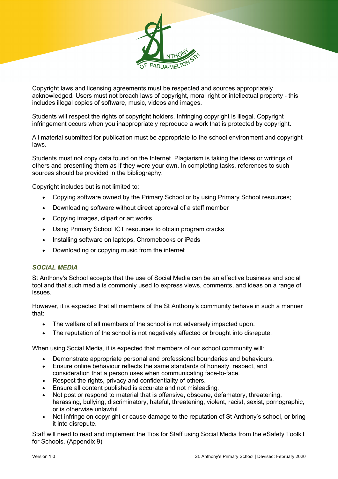

Copyright laws and licensing agreements must be respected and sources appropriately acknowledged. Users must not breach laws of copyright, moral right or intellectual property - this includes illegal copies of software, music, videos and images.

Students will respect the rights of copyright holders. Infringing copyright is illegal. Copyright infringement occurs when you inappropriately reproduce a work that is protected by copyright.

All material submitted for publication must be appropriate to the school environment and copyright laws.

Students must not copy data found on the Internet. Plagiarism is taking the ideas or writings of others and presenting them as if they were your own. In completing tasks, references to such sources should be provided in the bibliography.

Copyright includes but is not limited to:

- Copying software owned by the Primary School or by using Primary School resources;
- Downloading software without direct approval of a staff member
- Copying images, clipart or art works
- Using Primary School ICT resources to obtain program cracks
- Installing software on laptops, Chromebooks or iPads
- Downloading or copying music from the internet

#### *SOCIAL MEDIA*

St Anthony's School accepts that the use of Social Media can be an effective business and social tool and that such media is commonly used to express views, comments, and ideas on a range of issues.

However, it is expected that all members of the St Anthony's community behave in such a manner that:

- The welfare of all members of the school is not adversely impacted upon.
- The reputation of the school is not negatively affected or brought into disrepute.

When using Social Media, it is expected that members of our school community will:

- Demonstrate appropriate personal and professional boundaries and behaviours.
- Ensure online behaviour reflects the same standards of honesty, respect, and consideration that a person uses when communicating face-to-face.
- Respect the rights, privacy and confidentiality of others.
- Ensure all content published is accurate and not misleading.
- Not post or respond to material that is offensive, obscene, defamatory, threatening, harassing, bullying, discriminatory, hateful, threatening, violent, racist, sexist, pornographic, or is otherwise unlawful.
- Not infringe on copyright or cause damage to the reputation of St Anthony's school, or bring it into disrepute.

Staff will need to read and implement the Tips for Staff using Social Media from the eSafety Toolkit for Schools. (Appendix 9)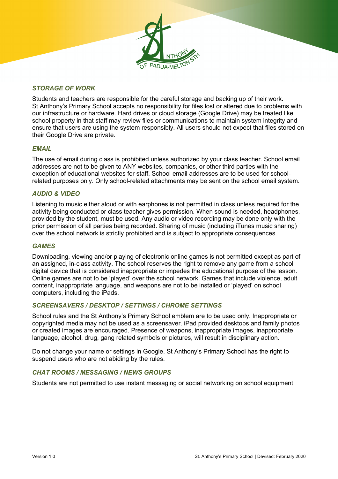#### *STORAGE OF WORK*

Students and teachers are responsible for the careful storage and backing up of their work. St Anthony's Primary School accepts no responsibility for files lost or altered due to problems with our infrastructure or hardware. Hard drives or cloud storage (Google Drive) may be treated like school property in that staff may review files or communications to maintain system integrity and ensure that users are using the system responsibly. All users should not expect that files stored on their Google Drive are private.

#### *EMAIL*

The use of email during class is prohibited unless authorized by your class teacher. School email addresses are not to be given to ANY websites, companies, or other third parties with the exception of educational websites for staff. School email addresses are to be used for schoolrelated purposes only. Only school-related attachments may be sent on the school email system.

#### *AUDIO & VIDEO*

Listening to music either aloud or with earphones is not permitted in class unless required for the activity being conducted or class teacher gives permission. When sound is needed, headphones, provided by the student, must be used. Any audio or video recording may be done only with the prior permission of all parties being recorded. Sharing of music (including iTunes music sharing) over the school network is strictly prohibited and is subject to appropriate consequences.

#### *GAMES*

Downloading, viewing and/or playing of electronic online games is not permitted except as part of an assigned, in-class activity. The school reserves the right to remove any game from a school digital device that is considered inappropriate or impedes the educational purpose of the lesson. Online games are not to be 'played' over the school network. Games that include violence, adult content, inappropriate language, and weapons are not to be installed or 'played' on school computers, including the iPads.

#### *SCREENSAVERS / DESKTOP / SETTINGS / CHROME SETTINGS*

School rules and the St Anthony's Primary School emblem are to be used only. Inappropriate or copyrighted media may not be used as a screensaver. iPad provided desktops and family photos or created images are encouraged. Presence of weapons, inappropriate images, inappropriate language, alcohol, drug, gang related symbols or pictures, will result in disciplinary action.

Do not change your name or settings in Google. St Anthony's Primary School has the right to suspend users who are not abiding by the rules.

#### *CHAT ROOMS / MESSAGING / NEWS GROUPS*

Students are not permitted to use instant messaging or social networking on school equipment.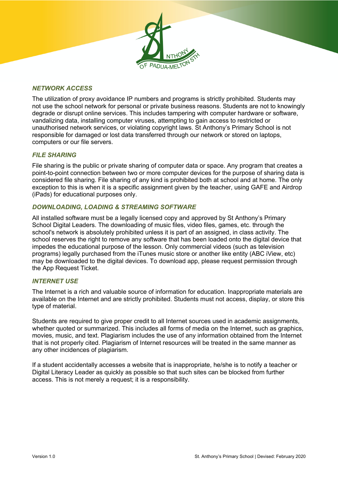#### *NETWORK ACCESS*

The utilization of proxy avoidance IP numbers and programs is strictly prohibited. Students may not use the school network for personal or private business reasons. Students are not to knowingly degrade or disrupt online services. This includes tampering with computer hardware or software, vandalizing data, installing computer viruses, attempting to gain access to restricted or unauthorised network services, or violating copyright laws. St Anthony's Primary School is not responsible for damaged or lost data transferred through our network or stored on laptops, computers or our file servers.

#### *FILE SHARING*

File sharing is the public or private sharing of computer data or space. Any program that creates a point-to-point connection between two or more computer devices for the purpose of sharing data is considered file sharing. File sharing of any kind is prohibited both at school and at home. The only exception to this is when it is a specific assignment given by the teacher, using GAFE and Airdrop (iPads) for educational purposes only.

#### *DOWNLOADING, LOADING & STREAMING SOFTWARE*

All installed software must be a legally licensed copy and approved by St Anthony's Primary School Digital Leaders. The downloading of music files, video files, games, etc. through the school's network is absolutely prohibited unless it is part of an assigned, in class activity. The school reserves the right to remove any software that has been loaded onto the digital device that impedes the educational purpose of the lesson. Only commercial videos (such as television programs) legally purchased from the iTunes music store or another like entity (ABC iView, etc) may be downloaded to the digital devices. To download app, please request permission through the App Request Ticket.

#### *INTERNET USE*

The Internet is a rich and valuable source of information for education. Inappropriate materials are available on the Internet and are strictly prohibited. Students must not access, display, or store this type of material.

Students are required to give proper credit to all Internet sources used in academic assignments, whether quoted or summarized. This includes all forms of media on the Internet, such as graphics, movies, music, and text. Plagiarism includes the use of any information obtained from the Internet that is not properly cited. Plagiarism of Internet resources will be treated in the same manner as any other incidences of plagiarism.

If a student accidentally accesses a website that is inappropriate, he/she is to notify a teacher or Digital Literacy Leader as quickly as possible so that such sites can be blocked from further access. This is not merely a request; it is a responsibility.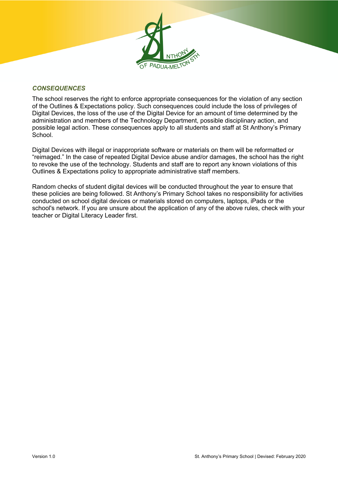

#### *CONSEQUENCES*

The school reserves the right to enforce appropriate consequences for the violation of any section of the Outlines & Expectations policy. Such consequences could include the loss of privileges of Digital Devices, the loss of the use of the Digital Device for an amount of time determined by the administration and members of the Technology Department, possible disciplinary action, and possible legal action. These consequences apply to all students and staff at St Anthony's Primary **School** 

Digital Devices with illegal or inappropriate software or materials on them will be reformatted or "reimaged." In the case of repeated Digital Device abuse and/or damages, the school has the right to revoke the use of the technology. Students and staff are to report any known violations of this Outlines & Expectations policy to appropriate administrative staff members.

Random checks of student digital devices will be conducted throughout the year to ensure that these policies are being followed. St Anthony's Primary School takes no responsibility for activities conducted on school digital devices or materials stored on computers, laptops, iPads or the school's network. If you are unsure about the application of any of the above rules, check with your teacher or Digital Literacy Leader first.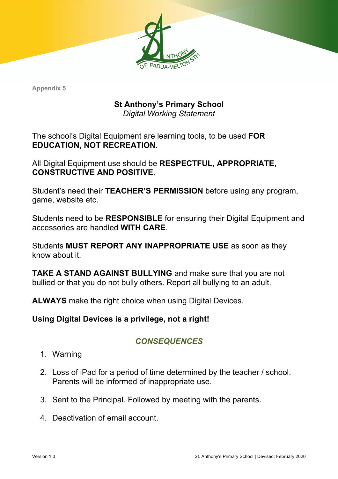# **St Anthony's Primary School**

*Digital Working Statement*

The school's Digital Equipment are learning tools, to be used **FOR EDUCATION, NOT RECREATION**.

All Digital Equipment use should be **RESPECTFUL, APPROPRIATE, CONSTRUCTIVE AND POSITIVE**.

Student's need their **TEACHER'S PERMISSION** before using any program, game, website etc.

Students need to be **RESPONSIBLE** for ensuring their Digital Equipment and accessories are handled **WITH CARE**.

Students **MUST REPORT ANY INAPPROPRIATE USE** as soon as they know about it.

**TAKE A STAND AGAINST BULLYING** and make sure that you are not bullied or that you do not bully others. Report all bullying to an adult.

**ALWAYS** make the right choice when using Digital Devices.

**Using Digital Devices is a privilege, not a right!**

## *CONSEQUENCES*

- 1. Warning
- 2. Loss of iPad for a period of time determined by the teacher / school. Parents will be informed of inappropriate use.
- 3. Sent to the Principal. Followed by meeting with the parents.
- 4. Deactivation of email account.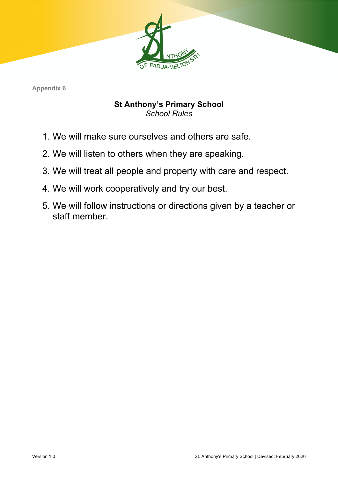

## **St Anthony's Primary School** *School Rules*

- 1. We will make sure ourselves and others are safe.
- 2. We will listen to others when they are speaking.
- 3. We will treat all people and property with care and respect.
- 4. We will work cooperatively and try our best.
- 5. We will follow instructions or directions given by a teacher or staff member.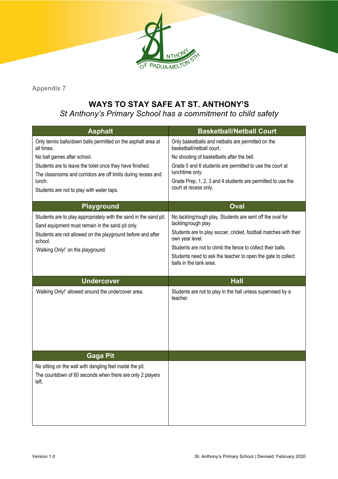

## **WAYS TO STAY SAFE AT ST. ANTHONY'S**

*St Anthony's Primary School has a commitment to child safety*

| <b>Asphalt</b>                                                                                                             | <b>Basketball/Netball Court</b>                                                         |
|----------------------------------------------------------------------------------------------------------------------------|-----------------------------------------------------------------------------------------|
| Only tennis balls/down balls permitted on the asphalt area at<br>all times.                                                | Only basketballs and netballs are permitted on the<br>basketball/netball court.         |
| No ball games after school.                                                                                                | No shooting of basketballs after the bell.                                              |
| Students are to leave the toilet once they have finished.<br>The classrooms and corridors are off limits during recess and | Grade 5 and 6 students are permitted to use the court at<br>lunchtime only.             |
| lunch.                                                                                                                     | Grade Prep, 1, 2, 3 and 4 students are permitted to use the                             |
| Students are not to play with water taps.                                                                                  | court at recess only.                                                                   |
| <b>Playground</b>                                                                                                          | Oval                                                                                    |
| Students are to play appropriately with the sand in the sand pit.<br>Sand equipment must remain in the sand pit only.      | No tackling/rough play. Students are sent off the oval for<br>tackling/rough play.      |
| Students are not allowed on the playground before and after<br>school.                                                     | Students are to play soccer, cricket, football matches with their<br>own year level.    |
| 'Walking Only!' on the playground.                                                                                         | Students are not to climb the fence to collect their balls.                             |
|                                                                                                                            | Students need to ask the teacher to open the gate to collect<br>balls in the tank area. |
|                                                                                                                            |                                                                                         |
|                                                                                                                            |                                                                                         |
| <b>Undercover</b>                                                                                                          | <b>Hall</b>                                                                             |
| 'Walking Only!' allowed around the undercover area.                                                                        | Students are not to play in the hall unless supervised by a<br>teacher.                 |
|                                                                                                                            |                                                                                         |
|                                                                                                                            |                                                                                         |
|                                                                                                                            |                                                                                         |
| <b>Gaga Pit</b>                                                                                                            |                                                                                         |
| No sitting on the wall with dangling feet inside the pit.                                                                  |                                                                                         |
| The countdown of 60 seconds when there are only 2 players<br>left.                                                         |                                                                                         |
|                                                                                                                            |                                                                                         |
|                                                                                                                            |                                                                                         |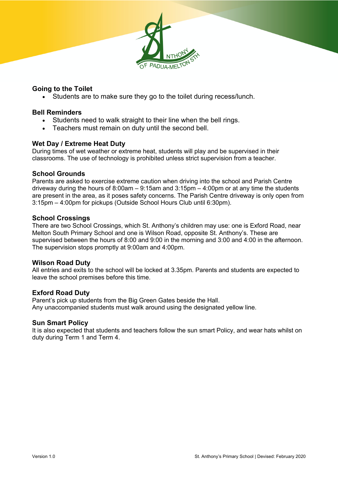#### **Going to the Toilet**

• Students are to make sure they go to the toilet during recess/lunch.

#### **Bell Reminders**

- Students need to walk straight to their line when the bell rings.
- Teachers must remain on duty until the second bell.

#### **Wet Day / Extreme Heat Duty**

During times of wet weather or extreme heat, students will play and be supervised in their classrooms. The use of technology is prohibited unless strict supervision from a teacher.

#### **School Grounds**

Parents are asked to exercise extreme caution when driving into the school and Parish Centre driveway during the hours of 8:00am – 9:15am and 3:15pm – 4:00pm or at any time the students are present in the area, as it poses safety concerns. The Parish Centre driveway is only open from 3:15pm – 4:00pm for pickups (Outside School Hours Club until 6:30pm).

#### **School Crossings**

There are two School Crossings, which St. Anthony's children may use: one is Exford Road, near Melton South Primary School and one is Wilson Road, opposite St. Anthony's. These are supervised between the hours of 8:00 and 9:00 in the morning and 3:00 and 4:00 in the afternoon. The supervision stops promptly at 9:00am and 4:00pm.

#### **Wilson Road Duty**

All entries and exits to the school will be locked at 3.35pm. Parents and students are expected to leave the school premises before this time.

#### **Exford Road Duty**

Parent's pick up students from the Big Green Gates beside the Hall. Any unaccompanied students must walk around using the designated yellow line.

#### **Sun Smart Policy**

It is also expected that students and teachers follow the sun smart Policy, and wear hats whilst on duty during Term 1 and Term 4.